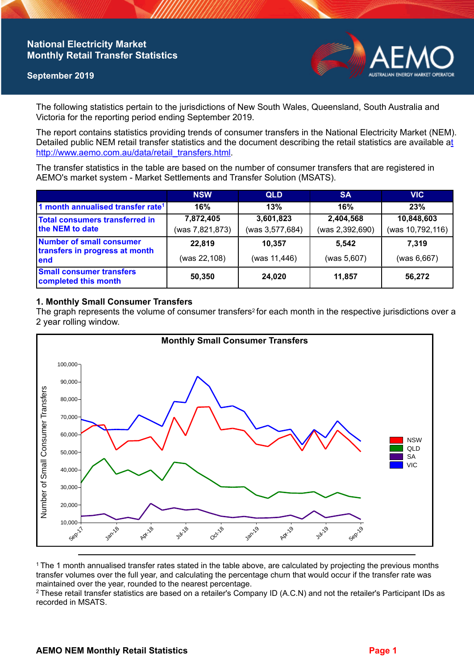## **National Electricity Market Monthly Retail Transfer Statistics**

### **September 2019**



The following statistics pertain to the jurisdictions of New South Wales, Queensland, South Australia and Victoria for the reporting period ending September 2019.

The report contains statistics providing trends of consumer transfers in the National Electricity Market (NEM). Detailed public NEM retail transfer statistics and the document describing the retail statistics are available a[t](http://www.aemo.com.au/data/retail_transfers.html)  http://www.aemo.com.au/data/retail\_transfers.html

The transfer statistics in the table are based on the number of consumer transfers that are registered in AEMO's market system - Market Settlements and Transfer Solution (MSATS).

|                                                                    | <b>NSW</b>      | <b>QLD</b>      | <b>SA</b>       | <b>VIC</b>       |
|--------------------------------------------------------------------|-----------------|-----------------|-----------------|------------------|
| 1 month annualised transfer rate <sup>1</sup>                      | 16%             | 13%             | 16%             | 23%              |
| Total consumers transferred in<br>the NEM to date                  | 7,872,405       | 3,601,823       | 2,404,568       | 10,848,603       |
|                                                                    | (was 7,821,873) | (was 3,577,684) | (was 2,392,690) | (was 10,792,116) |
| Number of small consumer<br>transfers in progress at month<br>lend | 22,819          | 10,357          | 5.542           | 7.319            |
|                                                                    | (was 22,108)    | (was 11,446)    | (was 5,607)     | (was 6,667)      |
| <b>Small consumer transfers</b><br>completed this month            | 50,350          | 24,020          | 11,857          | 56,272           |

## **1. Monthly Small Consumer Transfers**

The graph represents the volume of consumer transfers<sup>2</sup> for each month in the respective jurisdictions over a 2 year rolling window.



<sup>1</sup> The 1 month annualised transfer rates stated in the table above, are calculated by projecting the previous months transfer volumes over the full year, and calculating the percentage churn that would occur if the transfer rate was maintained over the year, rounded to the nearest percentage.

<sup>2</sup> These retail transfer statistics are based on a retailer's Company ID (A.C.N) and not the retailer's Participant IDs as recorded in MSATS.